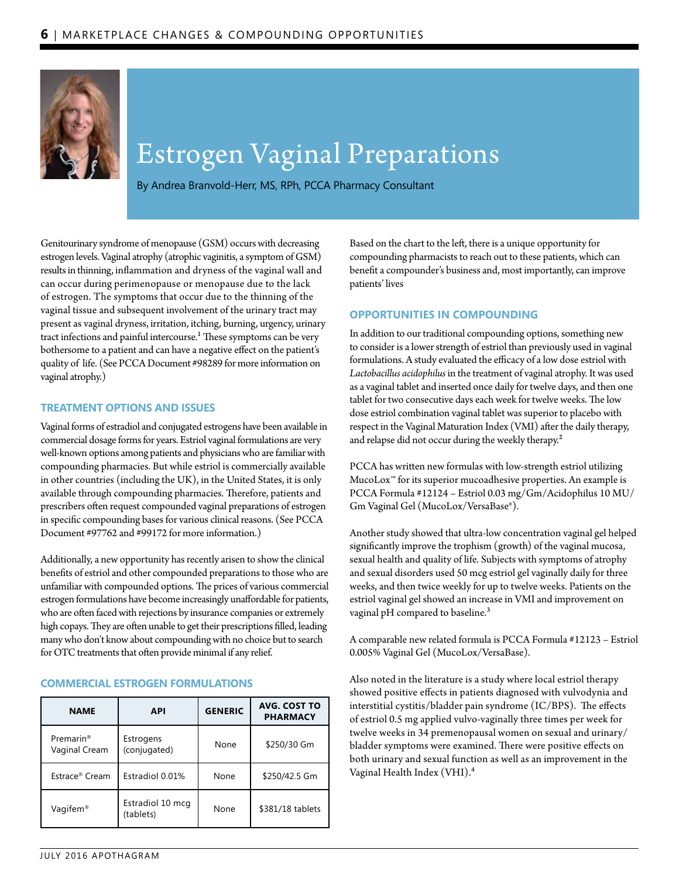

# Estrogen Vaginal Preparations

By Andrea Branvold-Herr, MS, RPh, PCCA Pharmacy Consultant

Genitourinary syndrome of menopause (GSM) occurs with decreasing estrogen levels. Vaginal atrophy (atrophic vaginitis, a symptom of GSM) results in thinning, inflammation and dryness of the vaginal wall and can occur during perimenopause or menopause due to the lack of estrogen. The symptoms that occur due to the thinning of the vaginal tissue and subsequent involvement of the urinary tract may present as vaginal dryness, irritation, itching, burning, urgency, urinary tract infections and painful intercourse.<sup>1</sup> These symptoms can be very bothersome to a patient and can have a negative effect on the patient's quality of life. (See PCCA Document #98289 for more information on vaginal atrophy.)

#### **TREATMENT OPTIONS AND ISSUES**

Vaginal forms of estradiol and conjugated estrogens have been available in commercial dosage forms for years. Estriol vaginal formulations are very well-known options among patients and physicians who are familiar with compounding pharmacies. But while estriol is commercially available in other countries (including the UK), in the United States, it is only available through compounding pharmacies. Therefore, patients and prescribers often request compounded vaginal preparations of estrogen in specific compounding bases for various clinical reasons. (See PCCA Document #97762 and #99172 for more information.)

Additionally, a new opportunity has recently arisen to show the clinical benefits of estriol and other compounded preparations to those who are unfamiliar with compounded options. The prices of various commercial estrogen formulations have become increasingly unaffordable for patients, who are often faced with rejections by insurance companies or extremely high copays. They are often unable to get their prescriptions filled, leading many who don't know about compounding with no choice but to search for OTC treatments that often provide minimal if any relief.

| <b>NAME</b>                            | <b>API</b>                    | <b>GENERIC</b> | <b>AVG. COST TO</b><br><b>PHARMACY</b> |
|----------------------------------------|-------------------------------|----------------|----------------------------------------|
| Premarin <sup>®</sup><br>Vaginal Cream | Estrogens<br>(conjugated)     | None           | \$250/30 Gm                            |
| Estrace <sup>®</sup> Cream             | Estradiol 0.01%               | None           | \$250/42.5 Gm                          |
| Vagifem <sup>®</sup>                   | Estradiol 10 mcg<br>(tablets) | None           | \$381/18 tablets                       |

### **COMMERCIAL ESTROGEN FORMULATIONS**

Based on the chart to the left, there is a unique opportunity for compounding pharmacists to reach out to these patients, which can benefit a compounder's business and, most importantly, can improve patients' lives

#### **OPPORTUNITIES IN COMPOUNDING**

In addition to our traditional compounding options, something new to consider is a lower strength of estriol than previously used in vaginal formulations. A study evaluated the efficacy of a low dose estriol with *Lactobacillus acidophilus* in the treatment of vaginal atrophy. It was used as a vaginal tablet and inserted once daily for twelve days, and then one tablet for two consecutive days each week for twelve weeks. The low dose estriol combination vaginal tablet was superior to placebo with respect in the Vaginal Maturation Index (VMI) after the daily therapy, and relapse did not occur during the weekly therapy.<sup>2</sup>

PCCA has written new formulas with low-strength estriol utilizing MucoLox™ for its superior mucoadhesive properties. An example is PCCA Formula #12124 – Estriol 0.03 mg/Gm/Acidophilus 10 MU/ Gm Vaginal Gel (MucoLox/VersaBase®).

Another study showed that ultra-low concentration vaginal gel helped significantly improve the trophism (growth) of the vaginal mucosa, sexual health and quality of life. Subjects with symptoms of atrophy and sexual disorders used 50 mcg estriol gel vaginally daily for three weeks, and then twice weekly for up to twelve weeks. Patients on the estriol vaginal gel showed an increase in VMI and improvement on vaginal pH compared to baseline.<sup>3</sup>

A comparable new related formula is PCCA Formula #12123 – Estriol 0.005% Vaginal Gel (MucoLox/VersaBase).

Also noted in the literature is a study where local estriol therapy showed positive effects in patients diagnosed with vulvodynia and interstitial cystitis/bladder pain syndrome (IC/BPS). The effects of estriol 0.5 mg applied vulvo-vaginally three times per week for twelve weeks in 34 premenopausal women on sexual and urinary/ bladder symptoms were examined. There were positive effects on both urinary and sexual function as well as an improvement in the Vaginal Health Index (VHI).<sup>4</sup>